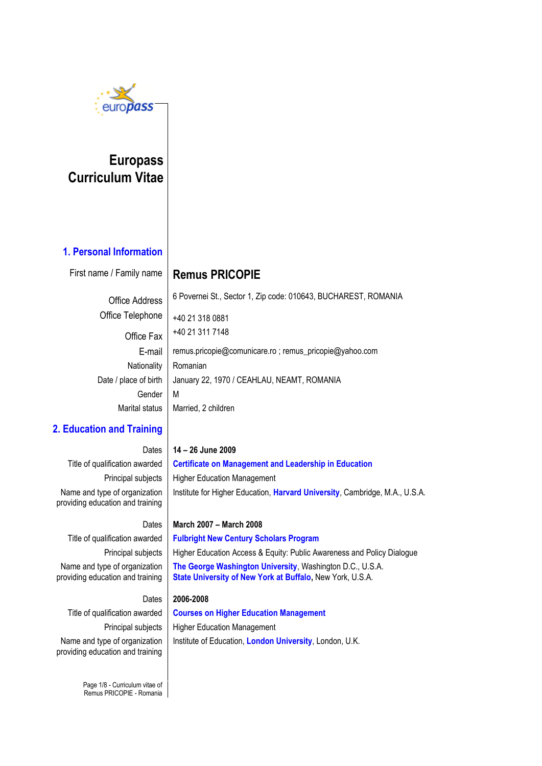

## **Europass Curriculum Vitae**

### **1. Personal Information**

First name / Family name | **Remus PRICOPIE** 

Office Address 6 Povernei St., Sector 1, Zip code: 010643, BUCHAREST, ROMANIA

Office Telephone  $+40, 21, 318, 0881$ Nationality | Romanian Gender M

Office Fax +40 21 311 7148 E-mail remus.pricopie@comunicare.ro ; remus\_pricopie@yahoo.com Date / place of birth | January 22, 1970 / CEAHLAU, NEAMT, ROMANIA Marital status  $\parallel$  Married, 2 children

### **2. Education and Training**

Name and type of organization providing education and training

Dates **14 – 26 June 2009** Title of qualification awarded **Certificate on Management and Leadership in Education** Principal subjects | Higher Education Management Institute for Higher Education, **Harvard University**, Cambridge, M.A., U.S.A.

#### Dates **March 2007 – March 2008**

Title of qualification awarded **Fulbright New Century Scholars Program** Name and type of organization providing education and training

Principal subjects | Higher Education Access & Equity: Public Awareness and Policy Dialogue **The George Washington University**, Washington D.C., U.S.A. **State University of New York at Buffalo,** New York, U.S.A.

#### Dates **2006-2008**

Name and type of organization providing education and training

Title of qualification awarded **Courses on Higher Education Management** Principal subjects | Higher Education Management Institute of Education, **London University**, London, U.K.

Page 1/8 - Curriculum vitae of Remus PRICOPIE - Romania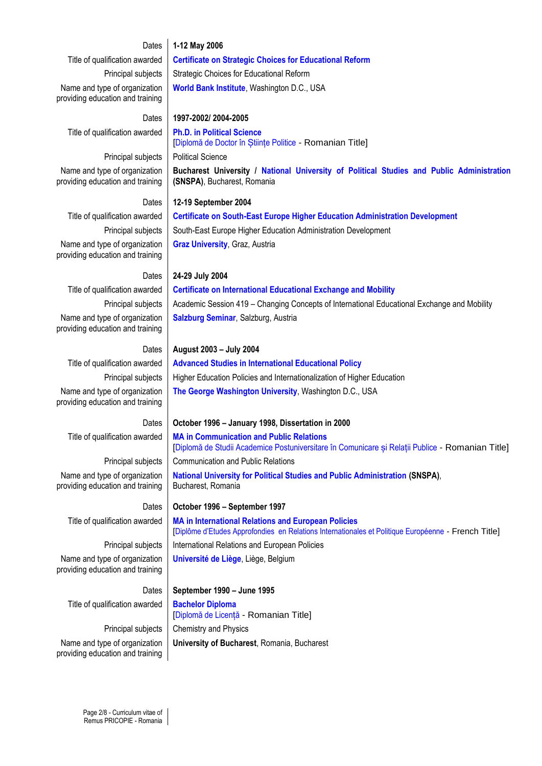#### Dates **1-12 May 2006**

Title of qualification awarded **Certificate on Strategic Choices for Educational Reform** Principal subjects | Strategic Choices for Educational Reform Name and type of organization providing education and training

Dates **1997-2002/ 2004-2005** Title of qualification awarded **Ph.D. in Political Science**

Principal subjects | Political Science Name and type of organization providing education and training

Dates **12-19 September 2004** Title of qualification awarded **Certificate on South-East Europe Higher Education Administration Development** Name and type of organization providing education and training

Principal subjects | South-East Europe Higher Education Administration Development **Graz University**, Graz, Austria

**(SNSPA)**, Bucharest, Romania

**World Bank Institute**, Washington D.C., USA

[Diplomă de Doctor în Științe Politice - Romanian Title]

Name and type of organization providing education and training

Name and type of organization providing education and training

Name and type of organization providing education and training

Name and type of organization providing education and training

Title of qualification awarded **Bachelor Diploma** 

[Diplomă de Licență - Romanian Title] Principal subjects | Chemistry and Physics **University of Bucharest**, Romania, Bucharest

Name and type of organization

# Dates **24-29 July 2004** Title of qualification awarded **Certificate on International Educational Exchange and Mobility**

**Bucharest University / National University of Political Studies and Public Administration**

Principal subjects | Academic Session 419 – Changing Concepts of International Educational Exchange and Mobility **Salzburg Seminar**, Salzburg, Austria

#### Dates **August 2003 – July 2004**

Title of qualification awarded **Advanced Studies in International Educational Policy** Principal subjects | Higher Education Policies and Internationalization of Higher Education **The George Washington University**, Washington D.C., USA

#### Dates **October 1996 – January 1998, Dissertation in 2000**

Title of qualification awarded **MA in Communication and Public Relations** [Diplomă de Studii Academice Postuniversitare în Comunicare și Relații Publice - Romanian Title] Principal subjects | Communication and Public Relations

**National University for Political Studies and Public Administration (SNSPA)**, Bucharest, Romania

Dates **October 1996 – September 1997** Title of qualification awarded **MA in International Relations and European Policies** [Diplôme d'Etudes Approfondies en Relations Internationales et Politique Européenne - French Title] Principal subjects | International Relations and European Policies **Université de Liège**, Liège, Belgium

#### Dates **September 1990 – June 1995**

providing education and training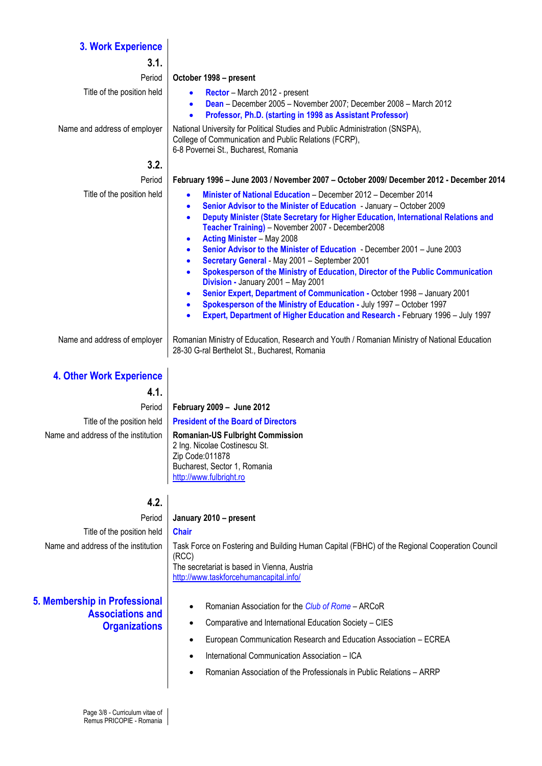#### **3. Work Experience**

| 3.1.                            |                                                                                                                                                                                                                                                                                                                                                                                                                                                                                                                                                                                                                                                                                                                                                                                                                                                                                                                                                     |  |  |  |  |  |  |  |
|---------------------------------|-----------------------------------------------------------------------------------------------------------------------------------------------------------------------------------------------------------------------------------------------------------------------------------------------------------------------------------------------------------------------------------------------------------------------------------------------------------------------------------------------------------------------------------------------------------------------------------------------------------------------------------------------------------------------------------------------------------------------------------------------------------------------------------------------------------------------------------------------------------------------------------------------------------------------------------------------------|--|--|--|--|--|--|--|
| Period                          | October 1998 - present                                                                                                                                                                                                                                                                                                                                                                                                                                                                                                                                                                                                                                                                                                                                                                                                                                                                                                                              |  |  |  |  |  |  |  |
| Title of the position held      | Rector - March 2012 - present<br>Dean - December 2005 - November 2007; December 2008 - March 2012<br>$\bullet$<br>Professor, Ph.D. (starting in 1998 as Assistant Professor)<br>$\bullet$                                                                                                                                                                                                                                                                                                                                                                                                                                                                                                                                                                                                                                                                                                                                                           |  |  |  |  |  |  |  |
| Name and address of employer    | National University for Political Studies and Public Administration (SNSPA),<br>College of Communication and Public Relations (FCRP),<br>6-8 Povernei St., Bucharest, Romania                                                                                                                                                                                                                                                                                                                                                                                                                                                                                                                                                                                                                                                                                                                                                                       |  |  |  |  |  |  |  |
| 3.2.                            |                                                                                                                                                                                                                                                                                                                                                                                                                                                                                                                                                                                                                                                                                                                                                                                                                                                                                                                                                     |  |  |  |  |  |  |  |
| Period                          | February 1996 - June 2003 / November 2007 - October 2009/ December 2012 - December 2014                                                                                                                                                                                                                                                                                                                                                                                                                                                                                                                                                                                                                                                                                                                                                                                                                                                             |  |  |  |  |  |  |  |
| Title of the position held      | Minister of National Education - December 2012 - December 2014<br>$\bullet$<br>Senior Advisor to the Minister of Education - January - October 2009<br>$\bullet$<br>Deputy Minister (State Secretary for Higher Education, International Relations and<br>$\bullet$<br>Teacher Training) - November 2007 - December2008<br><b>Acting Minister - May 2008</b><br>$\bullet$<br>Senior Advisor to the Minister of Education - December 2001 - June 2003<br>$\bullet$<br>Secretary General - May 2001 - September 2001<br>$\bullet$<br>Spokesperson of the Ministry of Education, Director of the Public Communication<br>$\bullet$<br>Division - January 2001 - May 2001<br>Senior Expert, Department of Communication - October 1998 - January 2001<br>$\bullet$<br>Spokesperson of the Ministry of Education - July 1997 - October 1997<br>$\bullet$<br>Expert, Department of Higher Education and Research - February 1996 - July 1997<br>$\bullet$ |  |  |  |  |  |  |  |
| Name and address of employer    | Romanian Ministry of Education, Research and Youth / Romanian Ministry of National Education<br>28-30 G-ral Berthelot St., Bucharest, Romania                                                                                                                                                                                                                                                                                                                                                                                                                                                                                                                                                                                                                                                                                                                                                                                                       |  |  |  |  |  |  |  |
| <b>4. Other Work Experience</b> |                                                                                                                                                                                                                                                                                                                                                                                                                                                                                                                                                                                                                                                                                                                                                                                                                                                                                                                                                     |  |  |  |  |  |  |  |
| 4.1.                            |                                                                                                                                                                                                                                                                                                                                                                                                                                                                                                                                                                                                                                                                                                                                                                                                                                                                                                                                                     |  |  |  |  |  |  |  |
| Period                          | February 2009 - June 2012                                                                                                                                                                                                                                                                                                                                                                                                                                                                                                                                                                                                                                                                                                                                                                                                                                                                                                                           |  |  |  |  |  |  |  |
| Title of the position held      | <b>President of the Board of Directors</b>                                                                                                                                                                                                                                                                                                                                                                                                                                                                                                                                                                                                                                                                                                                                                                                                                                                                                                          |  |  |  |  |  |  |  |

Name and address of the institution | Romanian-US Fulbright Commission 2 Ing. Nicolae Costinescu St. Zip Code:011878 Bucharest, Sector 1, Romania

The secretariat is based in Vienna, Austria

[http://www.fulbright.ro](http://www.fulbright.ro/)

Period **January 2010 – present** Title of the position held **Chair** Name and address of the institution | Task Force on Fostering and Building Human Capital (FBHC) of the Regional Cooperation Council

**4.2.**

(RCC)

### **5. Membership in Professional Associations and Organizations**

- <http://www.taskforcehumancapital.info/>
	- Romanian Association for the *Club of Rome* ARCoR
	- Comparative and International Education Society CIES
	- European Communication Research and Education Association ECREA
	- International Communication Association ICA
	- Romanian Association of the Professionals in Public Relations ARRP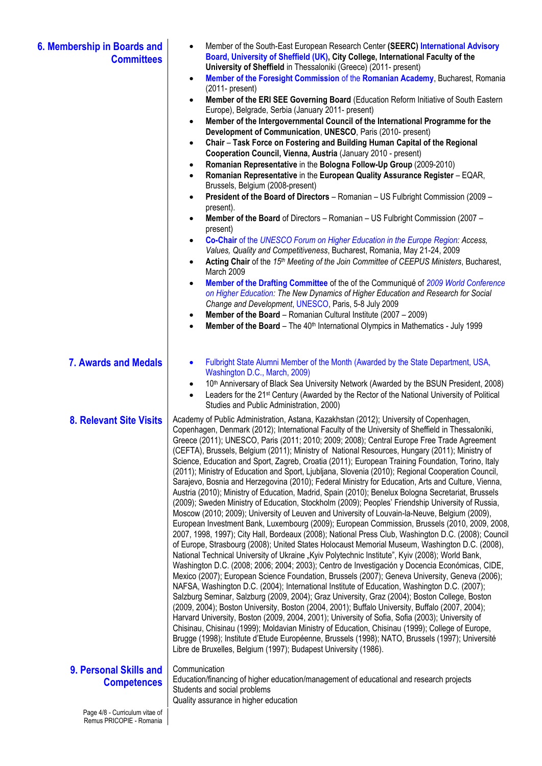| 6. Membership in Boards and<br><b>Committees</b> | Member of the South-East European Research Center (SEERC) International Advisory<br>Board, University of Sheffield (UK), City College, International Faculty of the<br>University of Sheffield in Thessaloniki (Greece) (2011- present)<br>Member of the Foresight Commission of the Romanian Academy, Bucharest, Romania<br>$\bullet$<br>$(2011 - present)$<br>Member of the ERI SEE Governing Board (Education Reform Initiative of South Eastern<br>$\bullet$<br>Europe), Belgrade, Serbia (January 2011- present)<br>Member of the Intergovernmental Council of the International Programme for the<br>$\bullet$<br>Development of Communication, UNESCO, Paris (2010- present)<br>Chair - Task Force on Fostering and Building Human Capital of the Regional<br>$\bullet$<br>Cooperation Council, Vienna, Austria (January 2010 - present)<br>Romanian Representative in the Bologna Follow-Up Group (2009-2010)<br>$\bullet$<br>Romanian Representative in the European Quality Assurance Register - EQAR,<br>$\bullet$<br>Brussels, Belgium (2008-present)<br>President of the Board of Directors - Romanian - US Fulbright Commission (2009 -<br>$\bullet$<br>present).<br>Member of the Board of Directors - Romanian - US Fulbright Commission (2007 -<br>$\bullet$<br>present)<br>Co-Chair of the UNESCO Forum on Higher Education in the Europe Region: Access,<br>$\bullet$<br>Values, Quality and Competitiveness, Bucharest, Romania, May 21-24, 2009<br>Acting Chair of the 15th Meeting of the Join Committee of CEEPUS Ministers, Bucharest,<br>$\bullet$<br>March 2009<br>Member of the Drafting Committee of the of the Communiqué of 2009 World Conference<br>$\bullet$<br>on Higher Education: The New Dynamics of Higher Education and Research for Social<br>Change and Development, UNESCO, Paris, 5-8 July 2009<br><b>Member of the Board</b> – Romanian Cultural Institute $(2007 - 2009)$<br>$\bullet$<br>Member of the Board - The 40 <sup>th</sup> International Olympics in Mathematics - July 1999<br>$\bullet$                                                                                                                                                                                                                                                                           |
|--------------------------------------------------|---------------------------------------------------------------------------------------------------------------------------------------------------------------------------------------------------------------------------------------------------------------------------------------------------------------------------------------------------------------------------------------------------------------------------------------------------------------------------------------------------------------------------------------------------------------------------------------------------------------------------------------------------------------------------------------------------------------------------------------------------------------------------------------------------------------------------------------------------------------------------------------------------------------------------------------------------------------------------------------------------------------------------------------------------------------------------------------------------------------------------------------------------------------------------------------------------------------------------------------------------------------------------------------------------------------------------------------------------------------------------------------------------------------------------------------------------------------------------------------------------------------------------------------------------------------------------------------------------------------------------------------------------------------------------------------------------------------------------------------------------------------------------------------------------------------------------------------------------------------------------------------------------------------------------------------------------------------------------------------------------------------------------------------------------------------------------------------------------------------------------------------------------------------------------------------------------------------------------------------------------------------------------------------------------------------------------|
| <b>7. Awards and Medals</b>                      | Fulbright State Alumni Member of the Month (Awarded by the State Department, USA,<br>$\bullet$<br>Washington D.C., March, 2009)<br>10 <sup>th</sup> Anniversary of Black Sea University Network (Awarded by the BSUN President, 2008)<br>$\bullet$<br>Leaders for the 21 <sup>st</sup> Century (Awarded by the Rector of the National University of Political<br>$\bullet$<br>Studies and Public Administration, 2000)                                                                                                                                                                                                                                                                                                                                                                                                                                                                                                                                                                                                                                                                                                                                                                                                                                                                                                                                                                                                                                                                                                                                                                                                                                                                                                                                                                                                                                                                                                                                                                                                                                                                                                                                                                                                                                                                                                    |
| <b>8. Relevant Site Visits</b>                   | Academy of Public Administration, Astana, Kazakhstan (2012); University of Copenhagen,<br>Copenhagen, Denmark (2012); International Faculty of the University of Sheffield in Thessaloniki,<br>Greece (2011); UNESCO, Paris (2011; 2010; 2009; 2008); Central Europe Free Trade Agreement<br>(CEFTA), Brussels, Belgium (2011); Ministry of National Resources, Hungary (2011); Ministry of<br>Science, Education and Sport, Zagreb, Croatia (2011); European Training Foundation, Torino, Italy<br>(2011); Ministry of Education and Sport, Ljubljana, Slovenia (2010); Regional Cooperation Council,<br>Sarajevo, Bosnia and Herzegovina (2010); Federal Ministry for Education, Arts and Culture, Vienna,<br>Austria (2010); Ministry of Education, Madrid, Spain (2010); Benelux Bologna Secretariat, Brussels<br>(2009); Sweden Ministry of Education, Stockholm (2009); Peoples' Friendship University of Russia,<br>Moscow (2010; 2009); University of Leuven and University of Louvain-la-Neuve, Belgium (2009),<br>European Investment Bank, Luxembourg (2009); European Commission, Brussels (2010, 2009, 2008,<br>2007, 1998, 1997); City Hall, Bordeaux (2008); National Press Club, Washington D.C. (2008); Council<br>of Europe, Strasbourg (2008); United States Holocaust Memorial Museum, Washington D.C. (2008),<br>National Technical University of Ukraine "Kyiv Polytechnic Institute", Kyiv (2008); World Bank,<br>Washington D.C. (2008; 2006; 2004; 2003); Centro de Investigación y Docencia Económicas, CIDE,<br>Mexico (2007); European Science Foundation, Brussels (2007); Geneva University, Geneva (2006);<br>NAFSA, Washington D.C. (2004); International Institute of Education, Washington D.C. (2007);<br>Salzburg Seminar, Salzburg (2009, 2004); Graz University, Graz (2004); Boston College, Boston<br>(2009, 2004); Boston University, Boston (2004, 2001); Buffalo University, Buffalo (2007, 2004);<br>Harvard University, Boston (2009, 2004, 2001); University of Sofia, Sofia (2003); University of<br>Chisinau, Chisinau (1999); Moldavian Ministry of Education, Chisinau (1999); College of Europe,<br>Brugge (1998); Institute d'Etude Européenne, Brussels (1998); NATO, Brussels (1997); Université<br>Libre de Bruxelles, Belgium (1997); Budapest University (1986). |
| 9. Personal Skills and<br><b>Competences</b>     | Communication<br>Education/financing of higher education/management of educational and research projects<br>Students and social problems<br>Quality assurance in higher education                                                                                                                                                                                                                                                                                                                                                                                                                                                                                                                                                                                                                                                                                                                                                                                                                                                                                                                                                                                                                                                                                                                                                                                                                                                                                                                                                                                                                                                                                                                                                                                                                                                                                                                                                                                                                                                                                                                                                                                                                                                                                                                                         |

Page 4/8 - Curriculum vitae of Remus PRICOPIE - Romania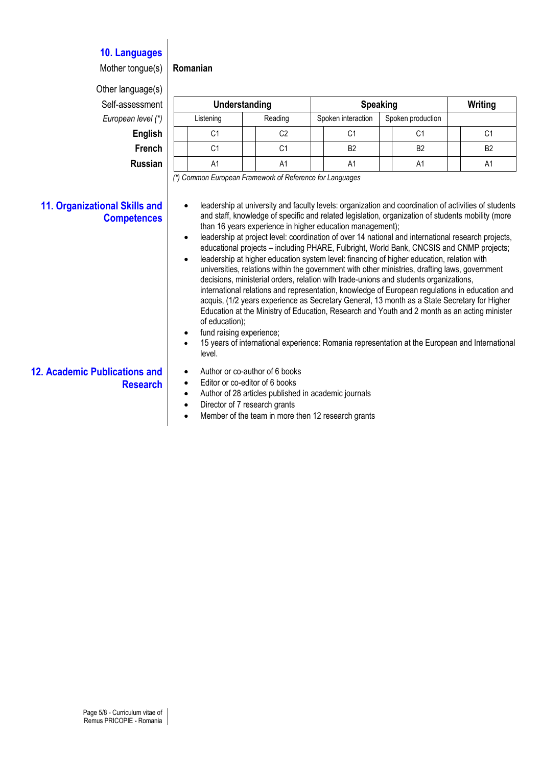### **10. Languages**

Mother tongue(s) **Romanian**

Other language(s)  $Self-assessmer$ **European level (\*** 

| <u>.</u>       |               |         |  |                    |                   |                |  |                |
|----------------|---------------|---------|--|--------------------|-------------------|----------------|--|----------------|
| iessment       | Understanding |         |  | <b>Speaking</b>    |                   |                |  | Writing        |
| n level (*)    | Listening     | Reading |  | Spoken interaction | Spoken production |                |  |                |
| <b>English</b> | C1            | C2      |  | C1                 |                   | C1             |  | C1             |
| <b>French</b>  | C1            | C1      |  | B <sub>2</sub>     |                   | B <sub>2</sub> |  | B <sub>2</sub> |
| Russian        | A1            | A1      |  | A1                 |                   | A1             |  | A1             |

*(\*) Common European Framework of Reference for Languages*

#### **11. Organizational Skills and Competences**

- leadership at university and faculty levels: organization and coordination of activities of students and staff, knowledge of specific and related legislation, organization of students mobility (more than 16 years experience in higher education management);
- leadership at project level: coordination of over 14 national and international research projects, educational projects – including PHARE, Fulbright, World Bank, CNCSIS and CNMP projects;
- leadership at higher education system level: financing of higher education, relation with universities, relations within the government with other ministries, drafting laws, government decisions, ministerial orders, relation with trade-unions and students organizations, international relations and representation, knowledge of European regulations in education and acquis, (1/2 years experience as Secretary General, 13 month as a State Secretary for Higher Education at the Ministry of Education, Research and Youth and 2 month as an acting minister of education);
- fund raising experience;
- 15 years of international experience: Romania representation at the European and International level.
- **12. Academic Publications and Research**
- Author or co-author of 6 books
- Editor or co-editor of 6 books
- Author of 28 articles published in academic journals
- Director of 7 research grants
- Member of the team in more then 12 research grants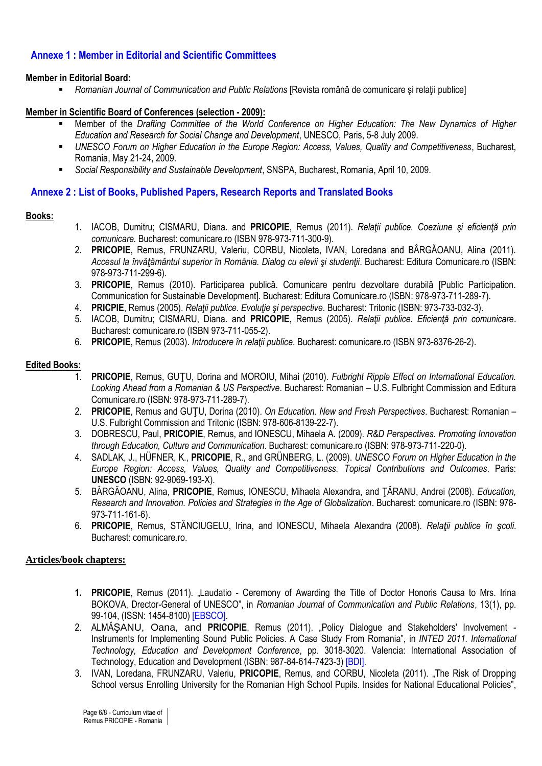### **Annexe 1 : Member in Editorial and Scientific Committees**

#### **Member in Editorial Board:**

*Romanian Journal of Communication and Public Relations* [Revista română de comunicare şi relaţii publice]

#### **Member in Scientific Board of Conferences (selection - 2009):**

- Member of the *Drafting Committee of the World Conference on Higher Education: The New Dynamics of Higher Education and Research for Social Change and Development*, UNESCO, Paris, 5-8 July 2009.
- *UNESCO Forum on Higher Education in the Europe Region: Access, Values, Quality and Competitiveness*, Bucharest, Romania, May 21-24, 2009.
- *Social Responsibility and Sustainable Development*, SNSPA, Bucharest, Romania, April 10, 2009.

#### **Annexe 2 : List of Books, Published Papers, Research Reports and Translated Books**

#### **Books:**

- 1. IACOB, Dumitru; CISMARU, Diana. and **PRICOPIE**, Remus (2011). *Relaţii publice. Coeziune şi eficienţă prin comunicare.* Bucharest: comunicare.ro (ISBN 978-973-711-300-9).
- 2. **PRICOPIE**, Remus, FRUNZARU, Valeriu, CORBU, Nicoleta, IVAN, Loredana and BÂRGĂOANU, Alina (2011). *Accesul la învăţământul superior în România. Dialog cu elevii şi studenţii*. Bucharest: Editura Comunicare.ro (ISBN: 978-973-711-299-6).
- 3. **PRICOPIE**, Remus (2010). Participarea publică. Comunicare pentru dezvoltare durabilă [Public Participation. Communication for Sustainable Development]. Bucharest: Editura Comunicare.ro (ISBN: 978-973-711-289-7).
- 4. **PRICPIE**, Remus (2005). *Relaţii publice. Evoluţie şi perspective*. Bucharest: Tritonic (ISBN: 973-733-032-3).
- 5. IACOB, Dumitru; CISMARU, Diana. and **PRICOPIE**, Remus (2005). *Relaţii publice. Eficienţă prin comunicare*. Bucharest: comunicare.ro (ISBN 973-711-055-2).
- 6. **PRICOPIE**, Remus (2003). *Introducere în relaţii publice*. Bucharest: comunicare.ro (ISBN 973-8376-26-2).

#### **Edited Books:**

- 1. **PRICOPIE**, Remus, GUŢU, Dorina and MOROIU, Mihai (2010). *Fulbright Ripple Effect on International Education. Looking Ahead from a Romanian & US Perspective*. Bucharest: Romanian – U.S. Fulbright Commission and Editura Comunicare.ro (ISBN: 978-973-711-289-7).
- 2. **PRICOPIE**, Remus and GUŢU, Dorina (2010). *On Education. New and Fresh Perspectives*. Bucharest: Romanian U.S. Fulbright Commission and Tritonic (ISBN: 978-606-8139-22-7).
- 3. DOBRESCU, Paul, **PRICOPIE**, Remus, and IONESCU, Mihaela A. (2009). *R&D Perspectives. Promoting Innovation through Education, Culture and Communication*. Bucharest: comunicare.ro (ISBN: 978-973-711-220-0).
- 4. SADLAK, J., HÜFNER, K., **PRICOPIE**, R., and GRÜNBERG, L. (2009). *UNESCO Forum on Higher Education in the Europe Region: Access, Values, Quality and Competitiveness. Topical Contributions and Outcomes*. Paris: **UNESCO** (ISBN: 92-9069-193-X).
- 5. BÂRGĂOANU, Alina, **PRICOPIE**, Remus, IONESCU, Mihaela Alexandra, and ŢĂRANU, Andrei (2008). *Education, Research and Innovation. Policies and Strategies in the Age of Globalization*. Bucharest: comunicare.ro (ISBN: 978- 973-711-161-6).
- 6. **PRICOPIE**, Remus, STĂNCIUGELU, Irina, and IONESCU, Mihaela Alexandra (2008). *Relaţii publice în şcoli*. Bucharest: comunicare.ro.

#### **Articles/book chapters:**

- **1. PRICOPIE**, Remus (2011). "Laudatio Ceremony of Awarding the Title of Doctor Honoris Causa to Mrs. Irina BOKOVA, Drector-General of UNESCO", in *Romanian Journal of Communication and Public Relations*, 13(1), pp. 99-104, (ISSN: 1454-8100) [EBSCO].
- 2. ALMĂSANU, Oana, and PRICOPIE, Remus (2011). "Policy Dialogue and Stakeholders' Involvement -Instruments for Implementing Sound Public Policies. A Case Study From Romania", in *INTED 2011. International Technology, Education and Development Conference*, pp. 3018-3020. Valencia: International Association of Technology, Education and Development (ISBN: 987-84-614-7423-3) [BDI].
- 3. IVAN, Loredana, FRUNZARU, Valeriu, **PRICOPIE**, Remus, and CORBU, Nicoleta (2011). "The Risk of Dropping School versus Enrolling University for the Romanian High School Pupils. Insides for National Educational Policies",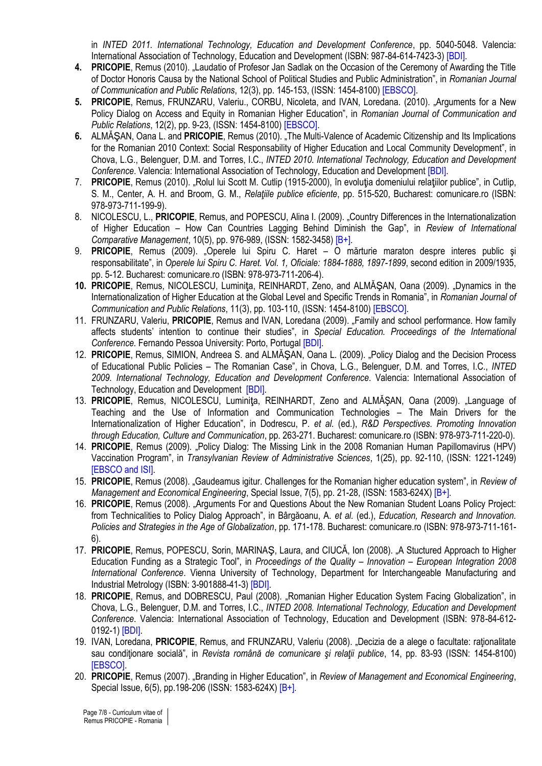in *INTED 2011. International Technology, Education and Development Conference*, pp. 5040-5048. Valencia: International Association of Technology, Education and Development (ISBN: 987-84-614-7423-3) [BDI].

- **4. PRICOPIE**, Remus (2010). "Laudatio of Profesor Jan Sadlak on the Occasion of the Ceremony of Awarding the Title of Doctor Honoris Causa by the National School of Political Studies and Public Administration", in *Romanian Journal of Communication and Public Relations*, 12(3), pp. 145-153, (ISSN: 1454-8100) [EBSCO].
- **5. PRICOPIE**, Remus, FRUNZARU, Valeriu., CORBU, Nicoleta, and IVAN, Loredana. (2010). "Arguments for a New Policy Dialog on Access and Equity in Romanian Higher Education", in *Romanian Journal of Communication and Public Relations*, 12(2), pp. 9-23, (ISSN: 1454-8100) [EBSCO].
- **6.** ALMĂŞAN, Oana L. and **PRICOPIE**, Remus (2010). "The Multi-Valence of Academic Citizenship and Its Implications for the Romanian 2010 Context: Social Responsability of Higher Education and Local Community Development", in Chova, L.G., Belenguer, D.M. and Torres, I.C., *INTED 2010. International Technology, Education and Development Conference*. Valencia: International Association of Technology, Education and Development [BDI].
- 7. **PRICOPIE**, Remus (2010). "Rolul lui Scott M. Cutlip (1915-2000), în evoluţia domeniului relaţiilor publice", in Cutlip, S. M., Center, A. H. and Broom, G. M., *Relaţiile publice eficiente*, pp. 515-520, Bucharest: comunicare.ro (ISBN: 978-973-711-199-9).
- 8. NICOLESCU, L., **PRICOPIE**, Remus, and POPESCU, Alina I. (2009). "Country Differences in the Internationalization of Higher Education – How Can Countries Lagging Behind Diminish the Gap", in *Review of International Comparative Management*, 10(5), pp. 976-989, (ISSN: 1582-3458) [B+].
- 9. **PRICOPIE**, Remus (2009). "Operele lui Spiru C. Haret O mărturie maraton despre interes public şi responsabilitate", in *Operele lui Spiru C. Haret. Vol. 1, Oficiale: 1884-1888, 1897-1899*, second edition in 2009/1935, pp. 5-12. Bucharest: comunicare.ro (ISBN: 978-973-711-206-4).
- 10. **PRICOPIE**, Remus, NICOLESCU, Luminita, REINHARDT, Zeno, and ALMĂSAN, Oana (2009). "Dynamics in the Internationalization of Higher Education at the Global Level and Specific Trends in Romania", in *Romanian Journal of Communication and Public Relations*, 11(3), pp. 103-110, (ISSN: 1454-8100) [EBSCO].
- 11. FRUNZARU, Valeriu, **PRICOPIE**, Remus and IVAN, Loredana (2009). *"*Family and school performance. How family affects students' intention to continue their studies", in *Special Education. Proceedings of the International Conference.* Fernando Pessoa University: Porto, Portugal [BDI].
- 12. **PRICOPIE**, Remus, SIMION, Andreea S. and ALMĂŞAN, Oana L. (2009). "Policy Dialog and the Decision Process of Educational Public Policies – The Romanian Case", in Chova, L.G., Belenguer, D.M. and Torres, I.C., *INTED 2009. International Technology, Education and Development Conference*. Valencia: International Association of Technology, Education and Development [BDI].
- 13. **PRICOPIE**, Remus, NICOLESCU, Luminiţa, REINHARDT, Zeno and ALMĂŞAN, Oana (2009). "Language of Teaching and the Use of Information and Communication Technologies – The Main Drivers for the Internationalization of Higher Education", in Dodrescu, P. *et al.* (ed.), *R&D Perspectives. Promoting Innovation through Education, Culture and Communication*, pp. 263-271. Bucharest: comunicare.ro (ISBN: 978-973-711-220-0).
- 14. PRICOPIE, Remus (2009). "Policy Dialog: The Missing Link in the 2008 Romanian Human Papillomavirus (HPV) Vaccination Program", in *Transylvanian Review of Administrative Sciences*, 1(25), pp. 92-110, (ISSN: 1221-1249) **IEBSCO and ISII**
- 15. **PRICOPIE**, Remus (2008). "Gaudeamus igitur. Challenges for the Romanian higher education system", in *Review of Management and Economical Engineering*, Special Issue, 7(5), pp. 21-28, (ISSN: 1583-624X) [B+].
- 16. **PRICOPIE**, Remus (2008). "Arguments For and Questions About the New Romanian Student Loans Policy Project: from Technicalities to Policy Dialog Approach", in Bârgăoanu, A. *et al.* (ed.), *Education, Research and Innovation. Policies and Strategies in the Age of Globalization*, pp. 171-178. Bucharest: comunicare.ro (ISBN: 978-973-711-161- 6).
- 17. **PRICOPIE**, Remus, POPESCU, Sorin, MARINAŞ, Laura, and CIUCĂ, Ion (2008). "A Stuctured Approach to Higher Education Funding as a Strategic Tool", in *Proceedings of the Quality – Innovation – European Integration 2008 International Conference*. Vienna University of Technology, Department for Interchangeable Manufacturing and Industrial Metrology (ISBN: 3-901888-41-3) [BDI].
- 18. PRICOPIE, Remus, and DOBRESCU, Paul (2008). "Romanian Higher Education System Facing Globalization", in Chova, L.G., Belenguer, D.M. and Torres, I.C., *INTED 2008. International Technology, Education and Development Conference*. Valencia: International Association of Technology, Education and Development (ISBN: 978-84-612- 0192-1) [BDI].
- 19. IVAN, Loredana, PRICOPIE, Remus, and FRUNZARU, Valeriu (2008). "Decizia de a alege o facultate: rationalitate sau conditionare socială", in *Revista română de comunicare și relații publice*, 14, pp. 83-93 (ISSN: 1454-8100) [EBSCO].
- 20. **PRICOPIE**, Remus (2007). "Branding in Higher Education", in *Review of Management and Economical Engineering*, Special Issue, 6(5), pp.198-206 (ISSN: 1583-624X) [B+].